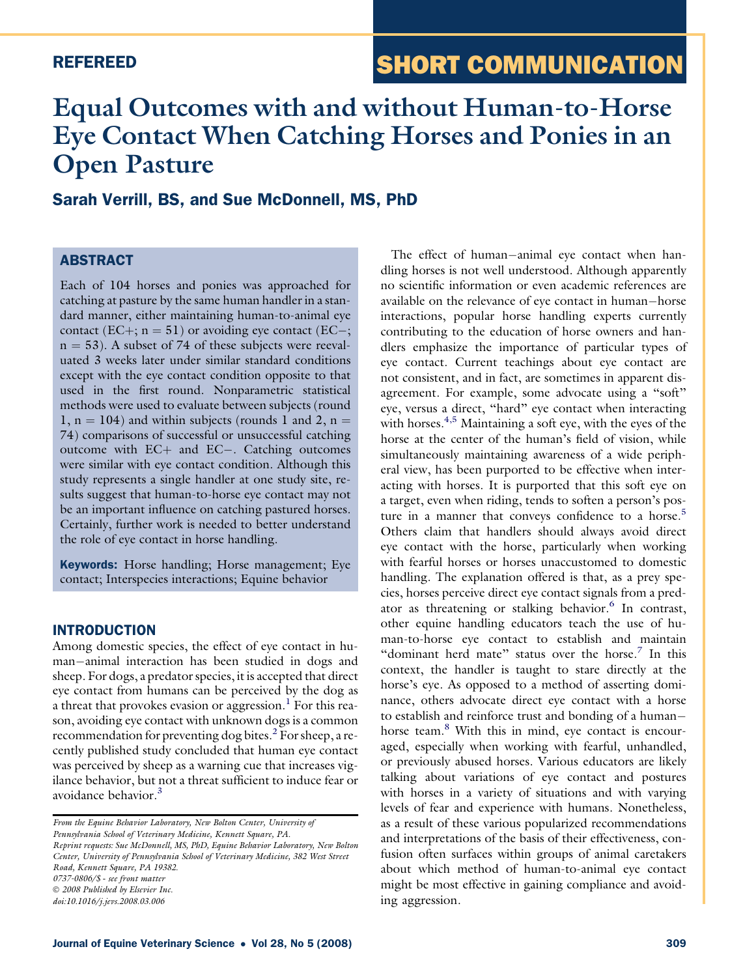# REFEREED

# Equal Outcomes with and without Human-to-Horse Eye Contact When Catching Horses and Ponies in an Open Pasture

Sarah Verrill, BS, and Sue McDonnell, MS, PhD

# ABSTRACT

Each of 104 horses and ponies was approached for catching at pasture by the same human handler in a standard manner, either maintaining human-to-animal eye contact (EC+;  $n = 51$ ) or avoiding eye contact (EC-;  $n = 53$ ). A subset of 74 of these subjects were reevaluated 3 weeks later under similar standard conditions except with the eye contact condition opposite to that used in the first round. Nonparametric statistical methods were used to evaluate between subjects (round 1,  $n = 104$ ) and within subjects (rounds 1 and 2,  $n =$ 74) comparisons of successful or unsuccessful catching outcome with EC+ and EC-. Catching outcomes were similar with eye contact condition. Although this study represents a single handler at one study site, results suggest that human-to-horse eye contact may not be an important influence on catching pastured horses. Certainly, further work is needed to better understand the role of eye contact in horse handling.

**Keywords:** Horse handling; Horse management; Eye contact; Interspecies interactions; Equine behavior

# INTRODUCTION

Among domestic species, the effect of eye contact in human-animal interaction has been studied in dogs and sheep. For dogs, a predator species, it is accepted that direct eye contact from humans can be perceived by the dog as a threat that provokes evasion or aggression.<sup>[1](#page-3-0)</sup> For this reason, avoiding eye contact with unknown dogs is a common recommendation for preventing dog bites.<sup>[2](#page-3-0)</sup> For sheep, a recently published study concluded that human eye contact was perceived by sheep as a warning cue that increases vigilance behavior, but not a threat sufficient to induce fear or avoidance behavior.<sup>[3](#page-3-0)</sup>

From the Equine Behavior Laboratory, New Bolton Center, University of Pennsylvania School of Veterinary Medicine, Kennett Square, PA. Reprint requests: Sue McDonnell, MS, PhD, Equine Behavior Laboratory, New Bolton Center, University of Pennsylvania School of Veterinary Medicine, 382 West Street Road, Kennett Square, PA 19382. 0737-0806/\$ - see front matter © 2008 Published by Elsevier Inc. doi:10.1016/j.jevs.2008.03.006

The effect of human-animal eye contact when handling horses is not well understood. Although apparently no scientific information or even academic references are available on the relevance of eye contact in human-horse interactions, popular horse handling experts currently contributing to the education of horse owners and handlers emphasize the importance of particular types of eye contact. Current teachings about eye contact are not consistent, and in fact, are sometimes in apparent disagreement. For example, some advocate using a "soft" eye, versus a direct, ''hard'' eye contact when interacting with horses.<sup>[4,5](#page-3-0)</sup> Maintaining a soft eye, with the eyes of the horse at the center of the human's field of vision, while simultaneously maintaining awareness of a wide peripheral view, has been purported to be effective when interacting with horses. It is purported that this soft eye on a target, even when riding, tends to soften a person's pos-ture in a manner that conveys confidence to a horse.<sup>[5](#page-3-0)</sup> Others claim that handlers should always avoid direct eye contact with the horse, particularly when working with fearful horses or horses unaccustomed to domestic handling. The explanation offered is that, as a prey species, horses perceive direct eye contact signals from a pred-ator as threatening or stalking behavior.<sup>[6](#page-3-0)</sup> In contrast, other equine handling educators teach the use of human-to-horse eye contact to establish and maintain "dominant herd mate" status over the horse. $\frac{7}{1}$  $\frac{7}{1}$  $\frac{7}{1}$  In this context, the handler is taught to stare directly at the horse's eye. As opposed to a method of asserting dominance, others advocate direct eye contact with a horse to establish and reinforce trust and bonding of a human- horse team.<sup>[8](#page-3-0)</sup> With this in mind, eye contact is encouraged, especially when working with fearful, unhandled, or previously abused horses. Various educators are likely talking about variations of eye contact and postures with horses in a variety of situations and with varying levels of fear and experience with humans. Nonetheless, as a result of these various popularized recommendations and interpretations of the basis of their effectiveness, confusion often surfaces within groups of animal caretakers about which method of human-to-animal eye contact might be most effective in gaining compliance and avoiding aggression.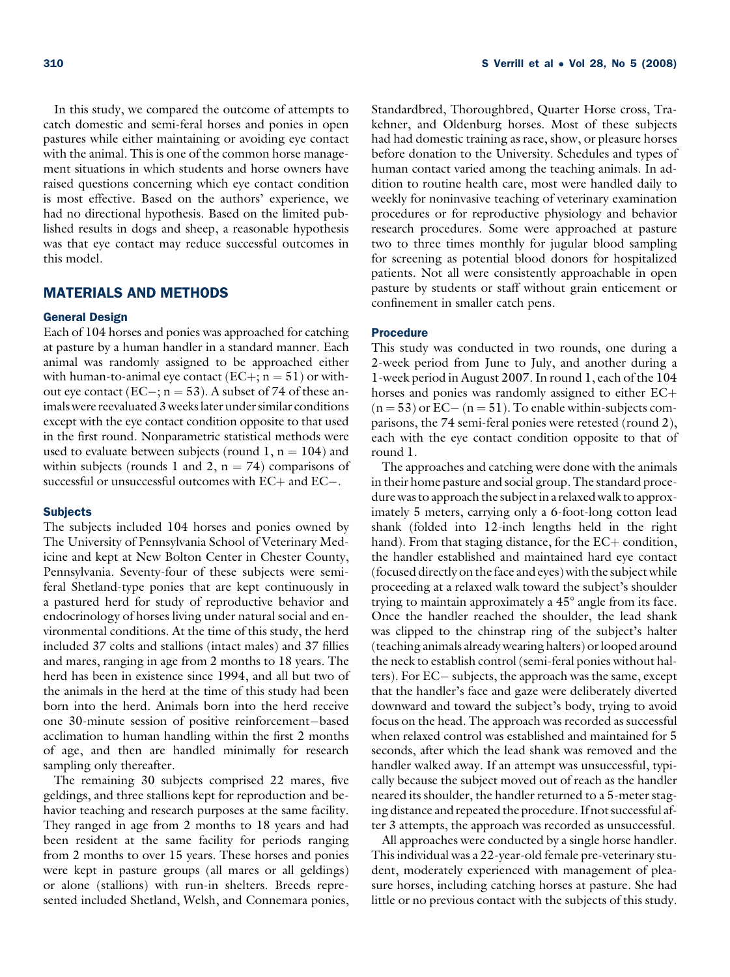In this study, we compared the outcome of attempts to catch domestic and semi-feral horses and ponies in open pastures while either maintaining or avoiding eye contact with the animal. This is one of the common horse management situations in which students and horse owners have raised questions concerning which eye contact condition is most effective. Based on the authors' experience, we had no directional hypothesis. Based on the limited published results in dogs and sheep, a reasonable hypothesis was that eye contact may reduce successful outcomes in this model.

# MATERIALS AND METHODS

#### General Design

Each of 104 horses and ponies was approached for catching at pasture by a human handler in a standard manner. Each animal was randomly assigned to be approached either with human-to-animal eye contact ( $EC+$ ; n = 51) or without eye contact (EC $-$ ; n = 53). A subset of 74 of these animals were reevaluated 3 weeks later under similar conditions except with the eye contact condition opposite to that used in the first round. Nonparametric statistical methods were used to evaluate between subjects (round  $1, n = 104$ ) and within subjects (rounds 1 and 2,  $n = 74$ ) comparisons of successful or unsuccessful outcomes with EC+ and EC–.

#### **Subjects**

The subjects included 104 horses and ponies owned by The University of Pennsylvania School of Veterinary Medicine and kept at New Bolton Center in Chester County, Pennsylvania. Seventy-four of these subjects were semiferal Shetland-type ponies that are kept continuously in a pastured herd for study of reproductive behavior and endocrinology of horses living under natural social and environmental conditions. At the time of this study, the herd included 37 colts and stallions (intact males) and 37 fillies and mares, ranging in age from 2 months to 18 years. The herd has been in existence since 1994, and all but two of the animals in the herd at the time of this study had been born into the herd. Animals born into the herd receive one 30-minute session of positive reinforcement-based acclimation to human handling within the first 2 months of age, and then are handled minimally for research sampling only thereafter.

The remaining 30 subjects comprised 22 mares, five geldings, and three stallions kept for reproduction and behavior teaching and research purposes at the same facility. They ranged in age from 2 months to 18 years and had been resident at the same facility for periods ranging from 2 months to over 15 years. These horses and ponies were kept in pasture groups (all mares or all geldings) or alone (stallions) with run-in shelters. Breeds represented included Shetland, Welsh, and Connemara ponies,

Standardbred, Thoroughbred, Quarter Horse cross, Trakehner, and Oldenburg horses. Most of these subjects had had domestic training as race, show, or pleasure horses before donation to the University. Schedules and types of human contact varied among the teaching animals. In addition to routine health care, most were handled daily to weekly for noninvasive teaching of veterinary examination procedures or for reproductive physiology and behavior research procedures. Some were approached at pasture two to three times monthly for jugular blood sampling for screening as potential blood donors for hospitalized patients. Not all were consistently approachable in open pasture by students or staff without grain enticement or confinement in smaller catch pens.

#### Procedure

This study was conducted in two rounds, one during a 2-week period from June to July, and another during a 1-week period in August 2007. In round 1, each of the 104 horses and ponies was randomly assigned to either  $EC+$  $(n = 53)$  or EC $- (n = 51)$ . To enable within-subjects comparisons, the 74 semi-feral ponies were retested (round 2), each with the eye contact condition opposite to that of round 1.

The approaches and catching were done with the animals in their home pasture and social group. The standard procedure was to approach the subject in a relaxed walk to approximately 5 meters, carrying only a 6-foot-long cotton lead shank (folded into 12-inch lengths held in the right hand). From that staging distance, for the  $EC+$  condition, the handler established and maintained hard eye contact (focused directly on the face and eyes) with the subject while proceeding at a relaxed walk toward the subject's shoulder trying to maintain approximately a  $45^{\circ}$  angle from its face. Once the handler reached the shoulder, the lead shank was clipped to the chinstrap ring of the subject's halter (teaching animals already wearing halters) or looped around the neck to establish control (semi-feral ponies without halters). For EC- subjects, the approach was the same, except that the handler's face and gaze were deliberately diverted downward and toward the subject's body, trying to avoid focus on the head. The approach was recorded as successful when relaxed control was established and maintained for 5 seconds, after which the lead shank was removed and the handler walked away. If an attempt was unsuccessful, typically because the subject moved out of reach as the handler neared its shoulder, the handler returned to a 5-meter staging distance and repeated the procedure. If not successful after 3 attempts, the approach was recorded as unsuccessful.

All approaches were conducted by a single horse handler. This individual was a 22-year-old female pre-veterinary student, moderately experienced with management of pleasure horses, including catching horses at pasture. She had little or no previous contact with the subjects of this study.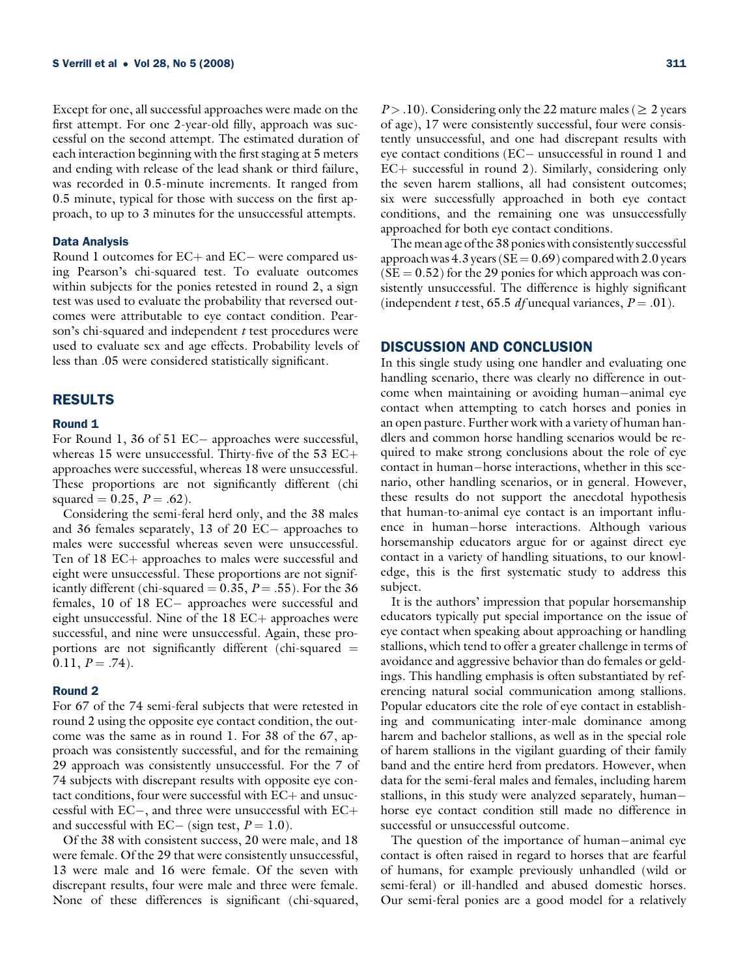Except for one, all successful approaches were made on the first attempt. For one 2-year-old filly, approach was successful on the second attempt. The estimated duration of each interaction beginning with the first staging at 5 meters and ending with release of the lead shank or third failure, was recorded in 0.5-minute increments. It ranged from 0.5 minute, typical for those with success on the first approach, to up to 3 minutes for the unsuccessful attempts.

#### Data Analysis

Round 1 outcomes for  $EC+$  and  $EC-$  were compared using Pearson's chi-squared test. To evaluate outcomes within subjects for the ponies retested in round 2, a sign test was used to evaluate the probability that reversed outcomes were attributable to eye contact condition. Pearson's chi-squared and independent  $t$  test procedures were used to evaluate sex and age effects. Probability levels of less than .05 were considered statistically significant.

# RESULTS

#### Round 1

For Round 1, 36 of 51 EC– approaches were successful, whereas 15 were unsuccessful. Thirty-five of the 53 EC+ approaches were successful, whereas 18 were unsuccessful. These proportions are not significantly different (chi squared  $= 0.25, P = .62$ ).

Considering the semi-feral herd only, and the 38 males and 36 females separately, 13 of 20 EC- approaches to males were successful whereas seven were unsuccessful. Ten of 18 EC+ approaches to males were successful and eight were unsuccessful. These proportions are not significantly different (chi-squared  $= 0.35, P = .55$ ). For the 36 females, 10 of 18 EC- approaches were successful and eight unsuccessful. Nine of the  $18$  EC+ approaches were successful, and nine were unsuccessful. Again, these proportions are not significantly different (chi-squared  $=$  $0.11, P = .74$ .

# Round 2

For 67 of the 74 semi-feral subjects that were retested in round 2 using the opposite eye contact condition, the outcome was the same as in round 1. For 38 of the 67, approach was consistently successful, and for the remaining 29 approach was consistently unsuccessful. For the 7 of 74 subjects with discrepant results with opposite eye contact conditions, four were successful with  $EC+$  and unsuccessful with  $EC-$ , and three were unsuccessful with  $EC+$ and successful with EC– (sign test,  $P = 1.0$ ).

Of the 38 with consistent success, 20 were male, and 18 were female. Of the 29 that were consistently unsuccessful, 13 were male and 16 were female. Of the seven with discrepant results, four were male and three were female. None of these differences is significant (chi-squared,

 $P > .10$ ). Considering only the 22 mature males ( $\geq 2$  years of age), 17 were consistently successful, four were consistently unsuccessful, and one had discrepant results with eye contact conditions (EC- unsuccessful in round 1 and  $EC$  successful in round 2). Similarly, considering only the seven harem stallions, all had consistent outcomes; six were successfully approached in both eye contact conditions, and the remaining one was unsuccessfully approached for both eye contact conditions.

The mean age of the 38 ponies with consistently successful approach was  $4.3$  years (SE = 0.69) compared with 2.0 years  $(SE = 0.52)$  for the 29 ponies for which approach was consistently unsuccessful. The difference is highly significant (independent t test, 65.5 df unequal variances,  $P = .01$ ).

# DISCUSSION AND CONCLUSION

In this single study using one handler and evaluating one handling scenario, there was clearly no difference in outcome when maintaining or avoiding human-animal eye contact when attempting to catch horses and ponies in an open pasture. Further work with a variety of human handlers and common horse handling scenarios would be required to make strong conclusions about the role of eye contact in human-horse interactions, whether in this scenario, other handling scenarios, or in general. However, these results do not support the anecdotal hypothesis that human-to-animal eye contact is an important influence in human-horse interactions. Although various horsemanship educators argue for or against direct eye contact in a variety of handling situations, to our knowledge, this is the first systematic study to address this subject.

It is the authors' impression that popular horsemanship educators typically put special importance on the issue of eye contact when speaking about approaching or handling stallions, which tend to offer a greater challenge in terms of avoidance and aggressive behavior than do females or geldings. This handling emphasis is often substantiated by referencing natural social communication among stallions. Popular educators cite the role of eye contact in establishing and communicating inter-male dominance among harem and bachelor stallions, as well as in the special role of harem stallions in the vigilant guarding of their family band and the entire herd from predators. However, when data for the semi-feral males and females, including harem stallions, in this study were analyzed separately, human horse eye contact condition still made no difference in successful or unsuccessful outcome.

The question of the importance of human-animal eye contact is often raised in regard to horses that are fearful of humans, for example previously unhandled (wild or semi-feral) or ill-handled and abused domestic horses. Our semi-feral ponies are a good model for a relatively